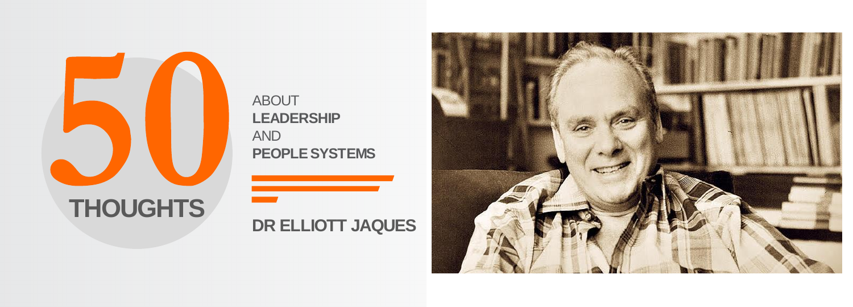

ABOUT **LEADERSHIP** AND **PEOPLE SYSTEMS** 

<u> Tanzania (</u>

#### **DR ELLIOTT JAQUES**

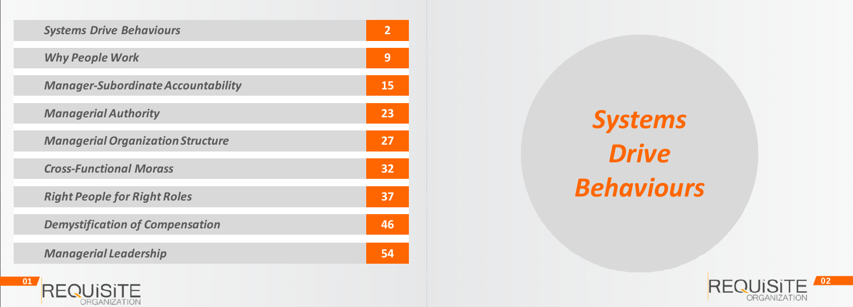

*Systems Drive Behaviours*



| <b>Systems Drive Behaviours</b>           | $\overline{2}$ |
|-------------------------------------------|----------------|
| <b>Why People Work</b>                    | 9              |
| <b>Manager-Subordinate Accountability</b> | <b>15</b>      |
| <b>Managerial Authority</b>               | 23             |
| <b>Managerial Organization Structure</b>  | 27             |
| <b>Cross-Functional Morass</b>            | 32             |
| <b>Right People for Right Roles</b>       | 37             |
| <b>Demystification of Compensation</b>    | 46             |
| <b>Managerial Leadership</b>              | 54             |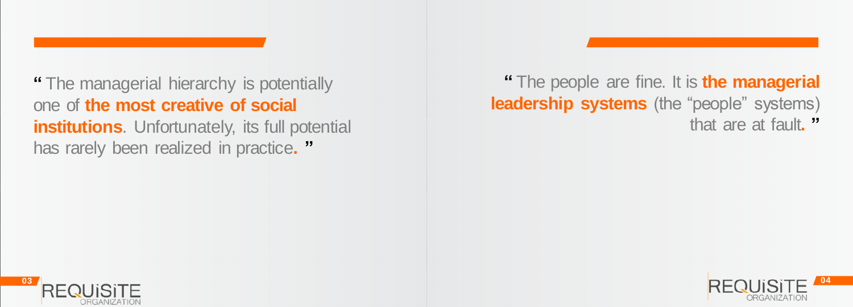#### **"** The people are fine. It is **the managerial leadership systems** (the "people" systems) that are at fault**. "**





**"** The managerial hierarchy is potentially one of **the most creative of social institutions.** Unfortunately, its full potential has rarely been realized in practice**. "**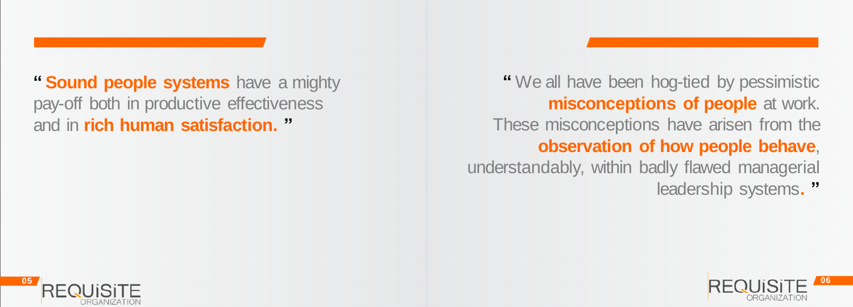**"** We all have been hog-tied by pessimistic **misconceptions of people** at work. These misconceptions have arisen from the **observation of how people behave**, understandably, within badly flawed managerial leadership systems**. "**





**" Sound people systems** have a mighty pay-off both in productive effectiveness and in **rich human satisfaction. "**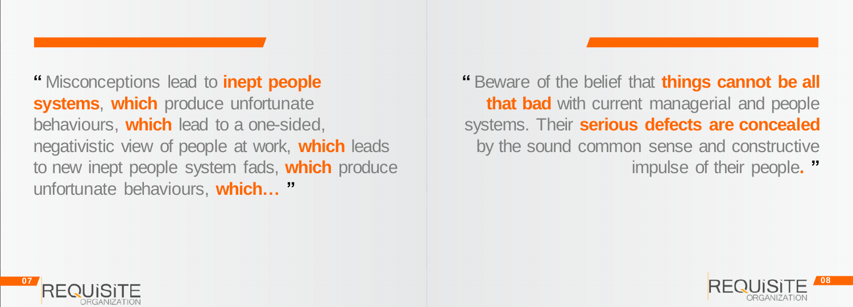**"** Beware of the belief that **things cannot be all that bad** with current managerial and people systems. Their **serious defects are concealed**  by the sound common sense and constructive impulse of their people**. "**





**"** Misconceptions lead to **inept people systems**, **which** produce unfortunate behaviours, **which** lead to a one-sided, negativistic view of people at work, **which** leads to new inept people system fads, **which** produce unfortunate behaviours, **which… "**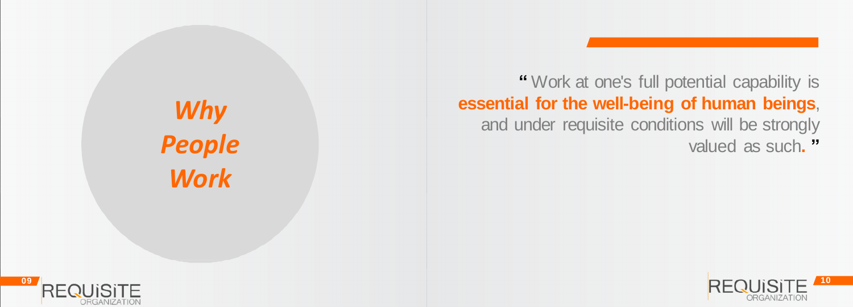

*Why People Work*



**"** Work at one's full potential capability is **essential for the well-being of human beings**, and under requisite conditions will be strongly valued as such**. "**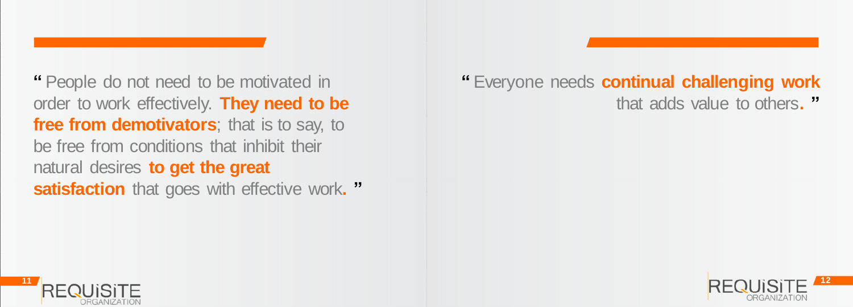#### **"** Everyone needs **continual challenging work**  that adds value to others**. "**



**"** People do not need to be motivated in order to work effectively. **They need to be free from demotivators**; that is to say, to be free from conditions that inhibit their natural desires **to get the great satisfaction** that goes with effective work**. "**

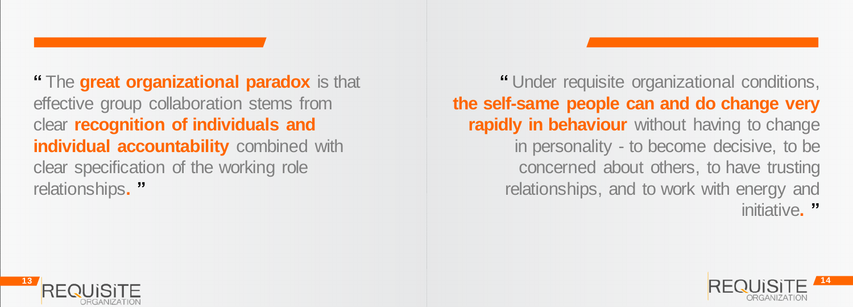**"** Under requisite organizational conditions, **the self-same people can and do change very rapidly in behaviour** without having to change in personality - to become decisive, to be concerned about others, to have trusting relationships, and to work with energy and initiative**. "**





**"** The **great organizational paradox** is that effective group collaboration stems from clear **recognition of individuals and individual accountability** combined with clear specification of the working role relationships**. "**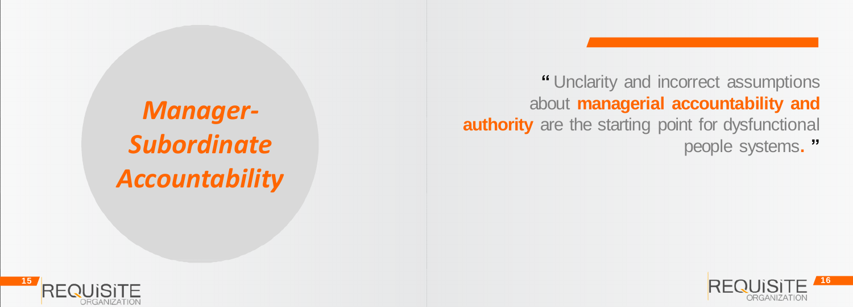

*Manager-Subordinate Accountability*



**"** Unclarity and incorrect assumptions about **managerial accountability and authority** are the starting point for dysfunctional people systems**. "**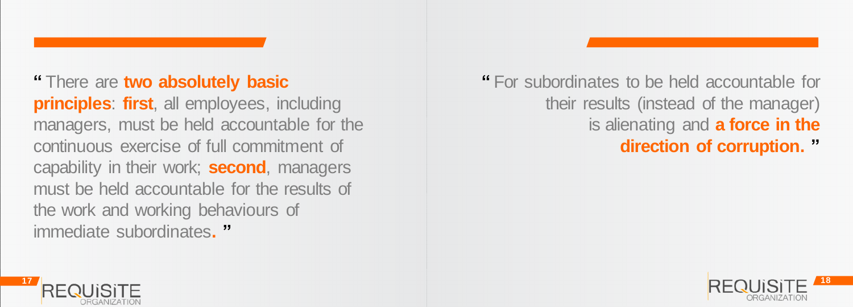#### **"** For subordinates to be held accountable for their results (instead of the manager) is alienating and **a force in the direction of corruption. "**



**"** There are **two absolutely basic principles**: **first**, all employees, including managers, must be held accountable for the continuous exercise of full commitment of capability in their work; **second**, managers must be held accountable for the results of the work and working behaviours of immediate subordinates**. "**

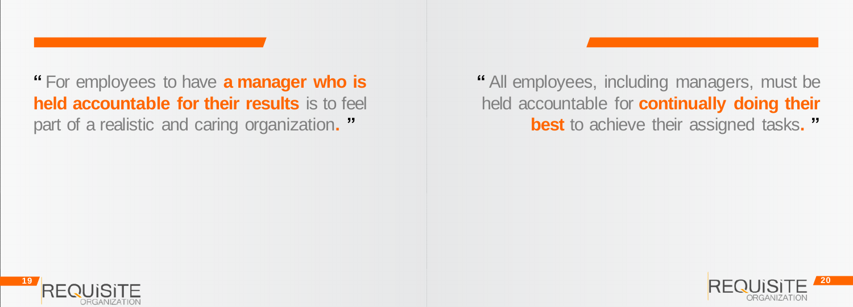#### **"** All employees, including managers, must be held accountable for **continually doing their best** to achieve their assigned tasks**. "**



**"** For employees to have **a manager who is held accountable for their results** is to feel part of a realistic and caring organization**. "**

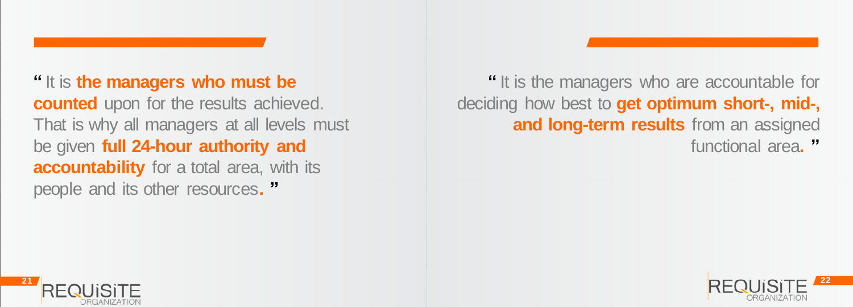# **"** It is the managers who are accountable for **and long-term results** from an assigned

deciding how best to **get optimum short-, mid-,** 



functional area**. "**



**"** It is **the managers who must be counted** upon for the results achieved. That is why all managers at all levels must be given **full 24-hour authority and accountability** for a total area, with its people and its other resources**. "**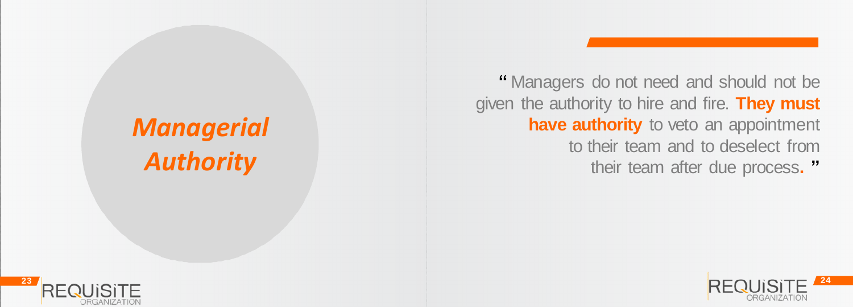

### *Managerial Authority*



**"** Managers do not need and should not be given the authority to hire and fire. **They must have authority** to veto an appointment to their team and to deselect from their team after due process**. "**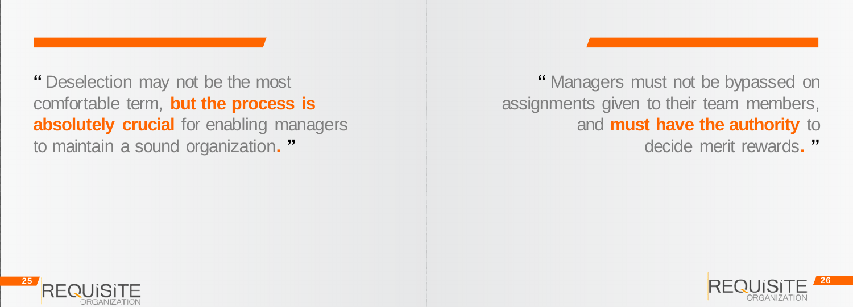#### **"** Managers must not be bypassed on assignments given to their team members, and **must have the authority** to

decide merit rewards**. "**





**"** Deselection may not be the most comfortable term, **but the process is absolutely crucial** for enabling managers to maintain a sound organization**. "**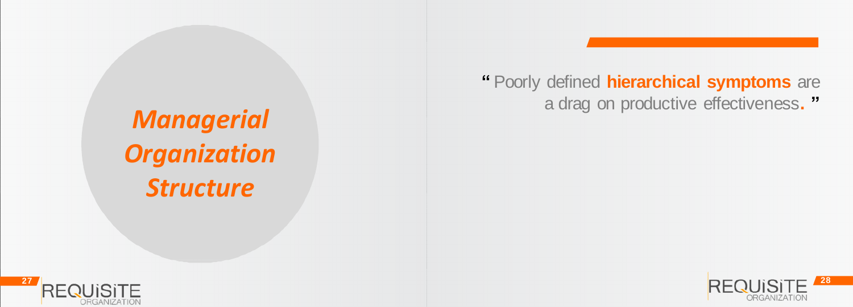

*Managerial Organization Structure*



#### **"** Poorly defined **hierarchical symptoms** are a drag on productive effectiveness**. "**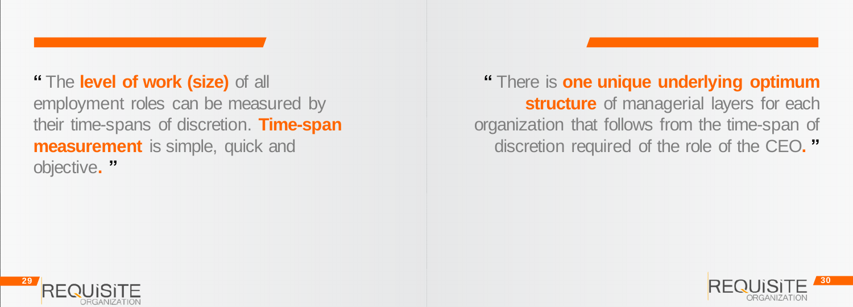#### **"** There is **one unique underlying optimum structure** of managerial layers for each organization that follows from the time-span of discretion required of the role of the CEO**. "**



**"** The **level of work (size)** of all employment roles can be measured by their time-spans of discretion. **Time-span measurement** is simple, quick and objective**. "**

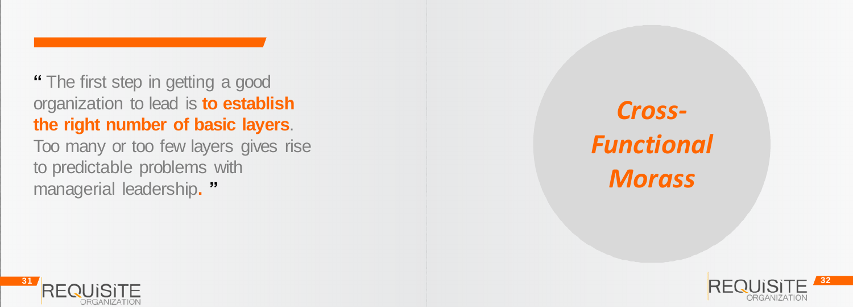organization to lead is **to establish the right number of basic layers**.

**<sup>31</sup> <sup>32</sup> "** The first step in getting a good Too many or too few layers gives rise to predictable problems with managerial leadership**. "**



### *Cross - Functional Morass*

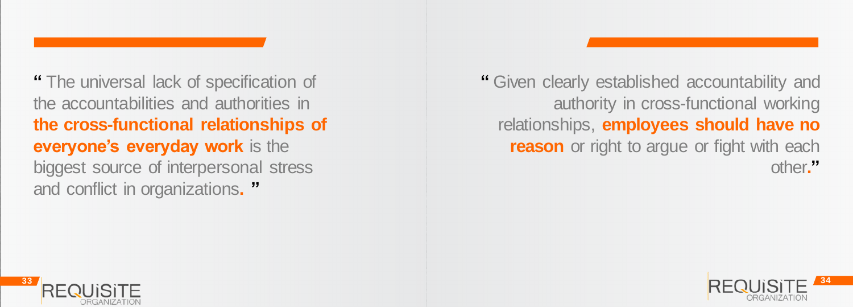**"** Given clearly established accountability and authority in cross-functional working relationships, **employees should have no reason** or right to argue or fight with each other**."**





**"** The universal lack of specification of the accountabilities and authorities in **the cross-functional relationships of everyone's everyday work** is the biggest source of interpersonal stress and conflict in organizations**. "**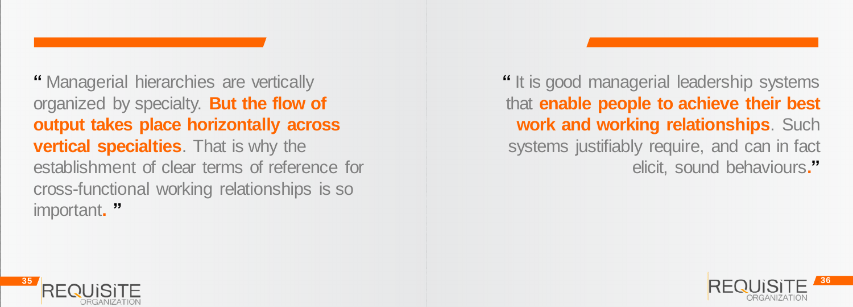**"** It is good managerial leadership systems that **enable people to achieve their best work and working relationships**. Such systems justifiably require, and can in fact elicit, sound behaviours**."**





**"** Managerial hierarchies are vertically organized by specialty. **But the flow of output takes place horizontally across vertical specialties**. That is why the establishment of clear terms of reference for cross-functional working relationships is so important**. "**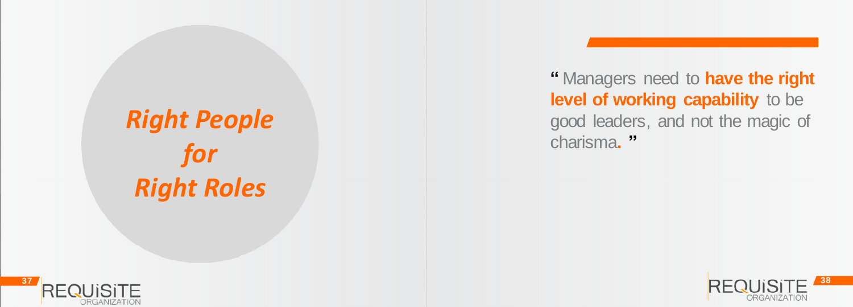

*Right People for Right Roles*

#### **"** Managers need to **have the right level of working capability** to be good leaders, and not the magic of

charisma**. "**

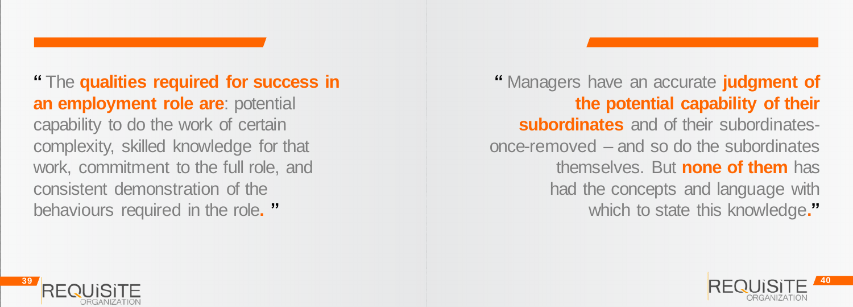**"** Managers have an accurate **judgment of the potential capability of their subordinates** and of their subordinatesonce-removed – and so do the subordinates themselves. But **none of them** has had the concepts and language with which to state this knowledge**."**





**"** The **qualities required for success in an employment role are**: potential capability to do the work of certain complexity, skilled knowledge for that work, commitment to the full role, and consistent demonstration of the behaviours required in the role**. "**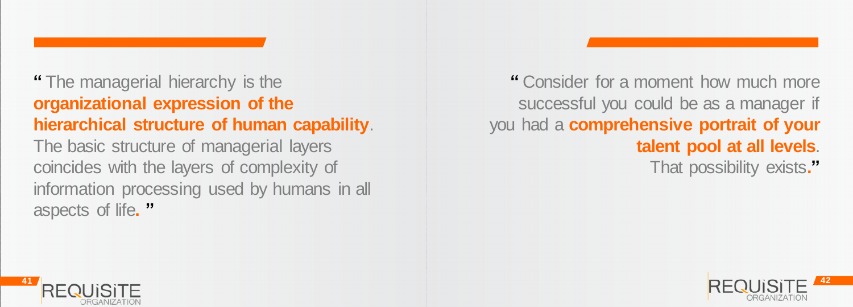#### **"** Consider for a moment how much more successful you could be as a manager if you had a **comprehensive portrait of your talent pool at all levels**. That possibility exists**."**



### **"** The managerial hierarchy is the **organizational expression of the hierarchical structure of human capability**. The basic structure of managerial layers coincides with the layers of complexity of information processing used by humans in all aspects of life**. "**

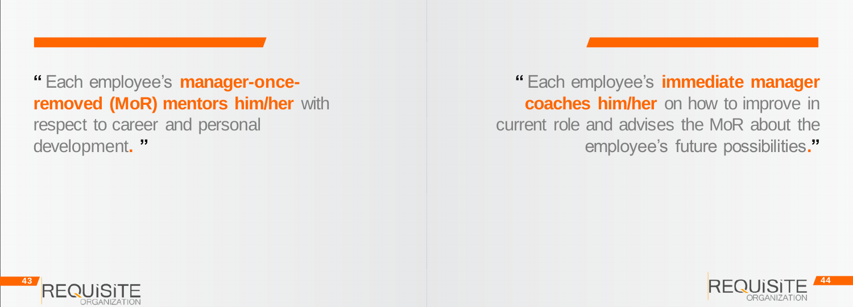**"** Each employee's **immediate manager coaches him/her** on how to improve in current role and advises the MoR about the employee's future possibilities**."**





**"** Each employee's **manager-onceremoved (MoR) mentors him/her** with respect to career and personal development**. "**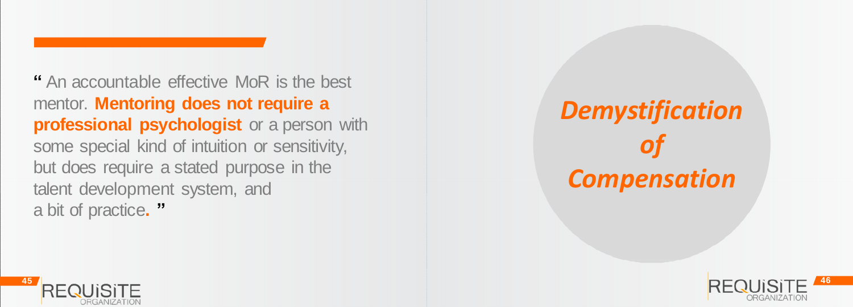

**"** An accountable effective MoR is the best mentor. **Mentoring does not require a professional psychologist** or a person with some special kind of intuition or sensitivity, but does require a stated purpose in the talent development system, and a bit of practice**. "**



## *Demystification of Compensation*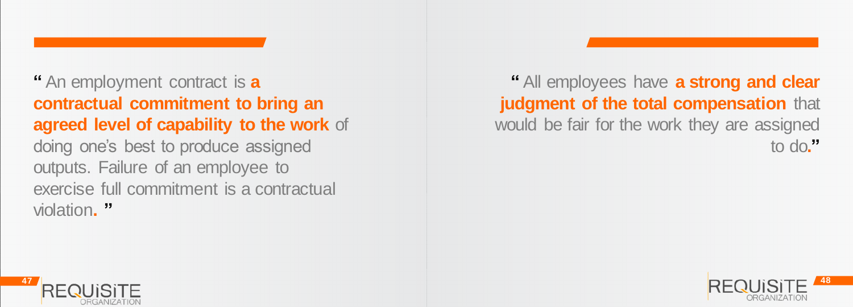**"** All employees have **a strong and clear judgment of the total compensation** that would be fair for the work they are assigned to do**."**





**"** An employment contract is **a contractual commitment to bring an agreed level of capability to the work** of doing one's best to produce assigned outputs. Failure of an employee to exercise full commitment is a contractual violation**. "**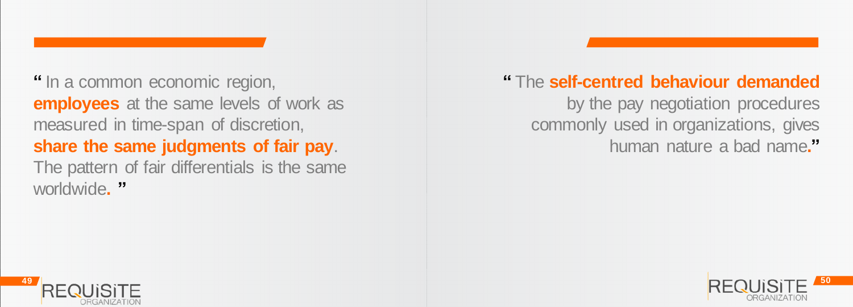#### **"** The **self-centred behaviour demanded**  by the pay negotiation procedures commonly used in organizations, gives human nature a bad name**."**





**"** In a common economic region, **employees** at the same levels of work as measured in time-span of discretion, **share the same judgments of fair pay**. The pattern of fair differentials is the same worldwide**. "**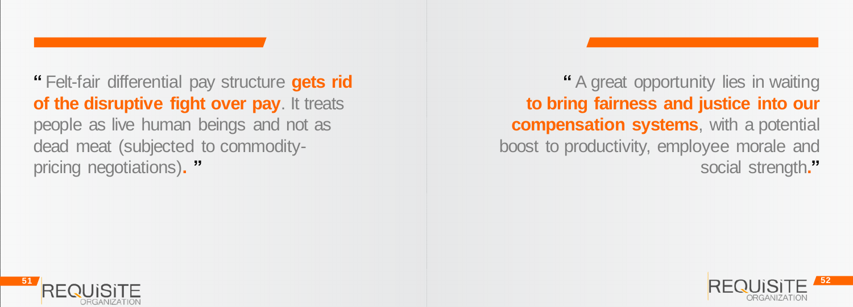**"** A great opportunity lies in waiting **to bring fairness and justice into our compensation systems**, with a potential boost to productivity, employee morale and social strength**."**





**"** Felt-fair differential pay structure **gets rid of the disruptive fight over pay.** It treats people as live human beings and not as dead meat (subjected to commoditypricing negotiations)**. "**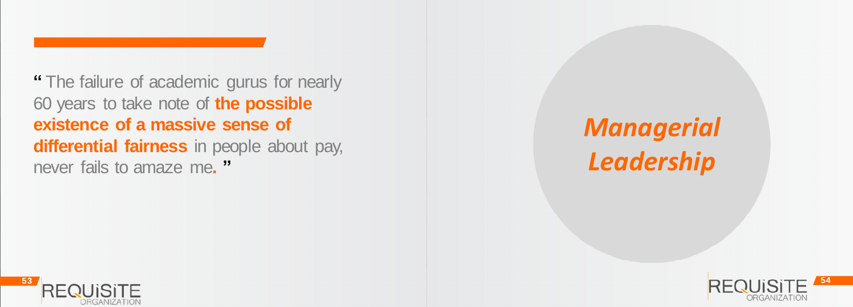

**"** The failure of academic gurus for nearly 60 years to take note of **the possible existence of a massive sense of differential fairness** in people about pay, never fails to amaze me**. "**

### *Managerial Leadership*

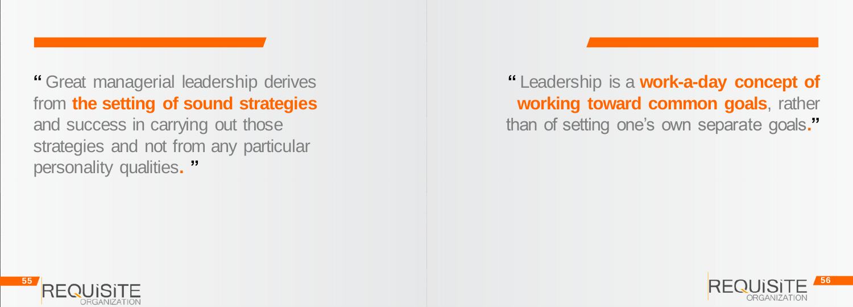#### **"** Leadership is a **work-a-day concept of working toward common goals**, rather than of setting one's own separate goals**."**



**"** Great managerial leadership derives from **the setting of sound strategies**  and success in carrying out those strategies and not from any particular personality qualities**. "**

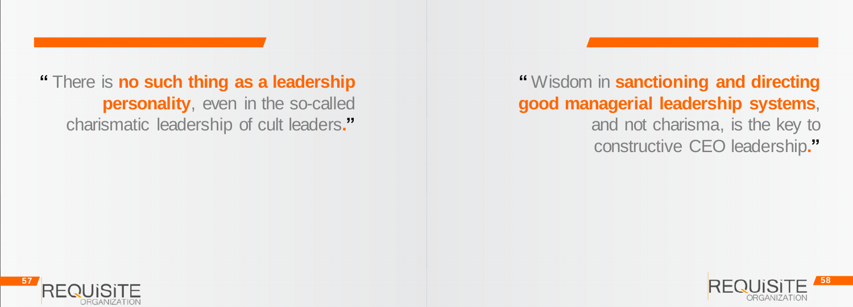**"** Wisdom in **sanctioning and directing good managerial leadership systems**, and not charisma, is the key to constructive CEO leadership**."**





**"** There is **no such thing as a leadership personality**, even in the so-called charismatic leadership of cult leaders**."**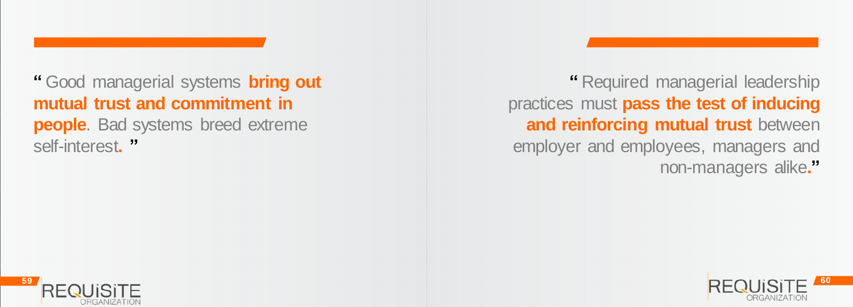**"** Required managerial leadership practices must **pass the test of inducing and reinforcing mutual trust between** employer and employees, managers and non-managers alike**."**



**"** Good managerial systems **bring out mutual trust and commitment in people**. Bad systems breed extreme self-interest."